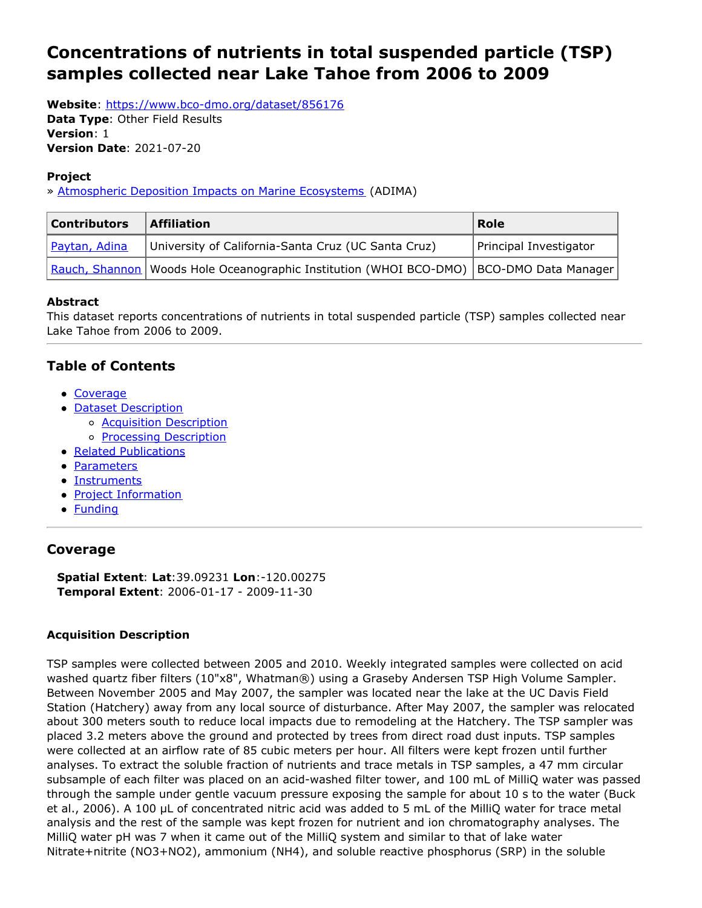# <span id="page-0-0"></span>**Concentrations of nutrients in total suspended particle (TSP) samples collected near Lake Tahoe from 2006 to 2009**

**Website**: <https://www.bco-dmo.org/dataset/856176>

**Data Type**: Other Field Results **Version**: 1 **Version Date**: 2021-07-20

### **Project**

» [Atmospheric](https://www.bco-dmo.org/project/549108) Deposition Impacts on Marine Ecosystems (ADIMA)

| <b>Contributors</b> | <b>Affiliation</b>                                                                          | Role                   |
|---------------------|---------------------------------------------------------------------------------------------|------------------------|
| Paytan, Adina       | University of California-Santa Cruz (UC Santa Cruz)                                         | Principal Investigator |
|                     | Rauch, Shannon   Woods Hole Oceanographic Institution (WHOI BCO-DMO)   BCO-DMO Data Manager |                        |

### **Abstract**

This dataset reports concentrations of nutrients in total suspended particle (TSP) samples collected near Lake Tahoe from 2006 to 2009.

# **Table of Contents**

- [Coverage](#page-0-0)
- Dataset Description
	- o **Acquisition [Description](#page-0-0)**
	- o **Processing [Description](#page-0-0)**
- Related [Publications](#page-0-0)
- [Parameters](#page-0-0)
- [Instruments](#page-0-0)
- Project [Information](#page-0-0)
- **[Funding](#page-0-0)**

# **Coverage**

**Spatial Extent**: **Lat**:39.09231 **Lon**:-120.00275 **Temporal Extent**: 2006-01-17 - 2009-11-30

### **Acquisition Description**

TSP samples were collected between 2005 and 2010. Weekly integrated samples were collected on acid washed quartz fiber filters (10"x8", Whatman®) using a Graseby Andersen TSP High Volume Sampler. Between November 2005 and May 2007, the sampler was located near the lake at the UC Davis Field Station (Hatchery) away from any local source of disturbance. After May 2007, the sampler was relocated about 300 meters south to reduce local impacts due to remodeling at the Hatchery. The TSP sampler was placed 3.2 meters above the ground and protected by trees from direct road dust inputs. TSP samples were collected at an airflow rate of 85 cubic meters per hour. All filters were kept frozen until further analyses. To extract the soluble fraction of nutrients and trace metals in TSP samples, a 47 mm circular subsample of each filter was placed on an acid-washed filter tower, and 100 mL of MilliQ water was passed through the sample under gentle vacuum pressure exposing the sample for about 10 s to the water (Buck et al., 2006). A 100 μL of concentrated nitric acid was added to 5 mL of the MilliQ water for trace metal analysis and the rest of the sample was kept frozen for nutrient and ion chromatography analyses. The MilliQ water pH was 7 when it came out of the MilliQ system and similar to that of lake water Nitrate+nitrite (NO3+NO2), ammonium (NH4), and soluble reactive phosphorus (SRP) in the soluble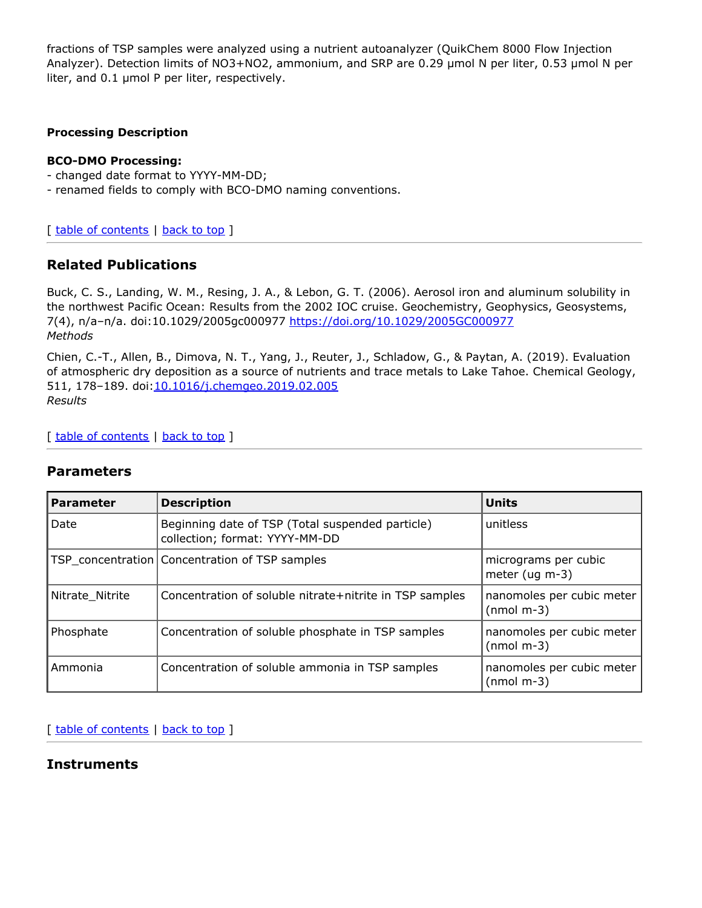fractions of TSP samples were analyzed using a nutrient autoanalyzer (QuikChem 8000 Flow Injection Analyzer). Detection limits of NO3+NO2, ammonium, and SRP are 0.29 μmol N per liter, 0.53 μmol N per liter, and 0.1 μmol P per liter, respectively.

#### **Processing Description**

#### **BCO-DMO Processing:**

- changed date format to YYYY-MM-DD;
- renamed fields to comply with BCO-DMO naming conventions.

[ table of [contents](#page-0-0) | [back](#page-0-0) to top ]

# **Related Publications**

Buck, C. S., Landing, W. M., Resing, J. A., & Lebon, G. T. (2006). Aerosol iron and aluminum solubility in the northwest Pacific Ocean: Results from the 2002 IOC cruise. Geochemistry, Geophysics, Geosystems, 7(4), n/a–n/a. doi:10.1029/2005gc000977 <https://doi.org/10.1029/2005GC000977> *Methods*

Chien, C.-T., Allen, B., Dimova, N. T., Yang, J., Reuter, J., Schladow, G., & Paytan, A. (2019). Evaluation of atmospheric dry deposition as a source of nutrients and trace metals to Lake Tahoe. Chemical Geology, 511, 178-189. doi: 10.1016/j.chemgeo.2019.02.005 *Results*

[ table of [contents](#page-0-0) | [back](#page-0-0) to top ]

### **Parameters**

| <b>Parameter</b> | <b>Description</b>                                                                 | Units                                     |
|------------------|------------------------------------------------------------------------------------|-------------------------------------------|
| Date             | Beginning date of TSP (Total suspended particle)<br>collection; format: YYYY-MM-DD | unitless                                  |
|                  | TSP concentration   Concentration of TSP samples                                   | micrograms per cubic<br>meter ( $uq$ m-3) |
| Nitrate Nitrite  | Concentration of soluble nitrate+nitrite in TSP samples                            | nanomoles per cubic meter<br>$(nmol m-3)$ |
| Phosphate        | Concentration of soluble phosphate in TSP samples                                  | nanomoles per cubic meter<br>$(mmol m-3)$ |
| Ammonia          | Concentration of soluble ammonia in TSP samples                                    | nanomoles per cubic meter<br>$(nmol m-3)$ |

[ table of [contents](#page-0-0) | [back](#page-0-0) to top ]

# **Instruments**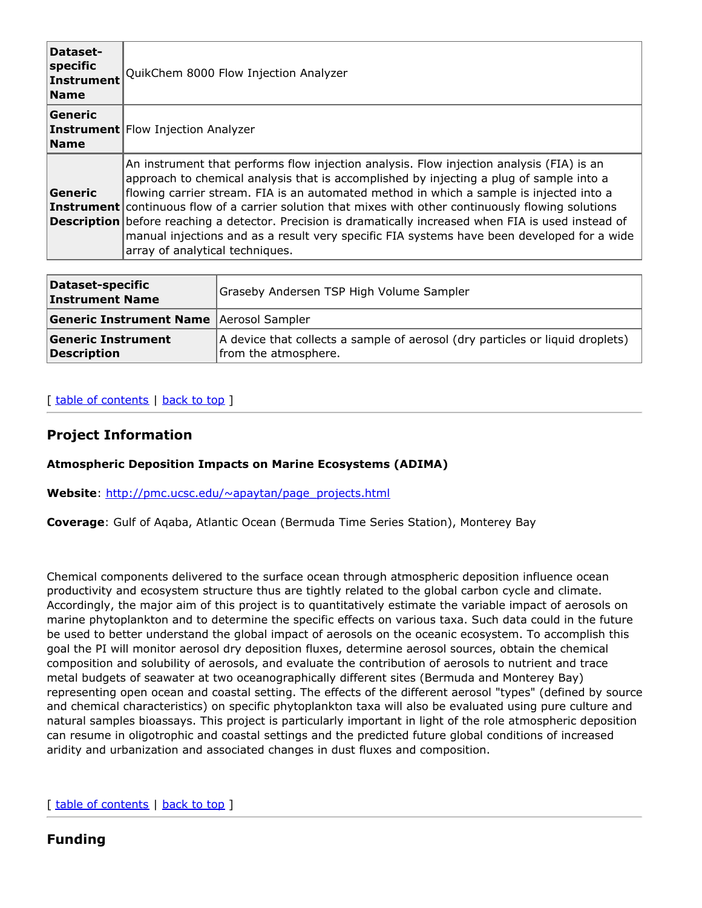| Dataset-<br>specific<br>Instrument<br><b>Name</b> | QuikChem 8000 Flow Injection Analyzer                                                                                                                                                                                                                                                                                                                                                                                                                                                                                                                                                                                                             |
|---------------------------------------------------|---------------------------------------------------------------------------------------------------------------------------------------------------------------------------------------------------------------------------------------------------------------------------------------------------------------------------------------------------------------------------------------------------------------------------------------------------------------------------------------------------------------------------------------------------------------------------------------------------------------------------------------------------|
| Generic<br><b>Name</b>                            | <b>Instrument</b> Flow Injection Analyzer                                                                                                                                                                                                                                                                                                                                                                                                                                                                                                                                                                                                         |
| <b>Generic</b>                                    | An instrument that performs flow injection analysis. Flow injection analysis (FIA) is an<br>approach to chemical analysis that is accomplished by injecting a plug of sample into a<br>flowing carrier stream. FIA is an automated method in which a sample is injected into a<br><b>Instrument</b> continuous flow of a carrier solution that mixes with other continuously flowing solutions<br><b>Description</b> before reaching a detector. Precision is dramatically increased when FIA is used instead of<br>manual injections and as a result very specific FIA systems have been developed for a wide<br>array of analytical techniques. |

| Dataset-specific<br><b>Instrument Name</b>      | Graseby Andersen TSP High Volume Sampler                                                              |
|-------------------------------------------------|-------------------------------------------------------------------------------------------------------|
| <b>Generic Instrument Name Aerosol Sampler</b>  |                                                                                                       |
| <b>Generic Instrument</b><br><b>Description</b> | A device that collects a sample of aerosol (dry particles or liquid droplets)<br>from the atmosphere. |

#### [ table of [contents](#page-0-0) | [back](#page-0-0) to top ]

### **Project Information**

#### **Atmospheric Deposition Impacts on Marine Ecosystems (ADIMA)**

**Website**: [http://pmc.ucsc.edu/~apaytan/page\\_projects.html](http://pmc.ucsc.edu/~apaytan/page_projects.html)

**Coverage**: Gulf of Aqaba, Atlantic Ocean (Bermuda Time Series Station), Monterey Bay

Chemical components delivered to the surface ocean through atmospheric deposition influence ocean productivity and ecosystem structure thus are tightly related to the global carbon cycle and climate. Accordingly, the major aim of this project is to quantitatively estimate the variable impact of aerosols on marine phytoplankton and to determine the specific effects on various taxa. Such data could in the future be used to better understand the global impact of aerosols on the oceanic ecosystem. To accomplish this goal the PI will monitor aerosol dry deposition fluxes, determine aerosol sources, obtain the chemical composition and solubility of aerosols, and evaluate the contribution of aerosols to nutrient and trace metal budgets of seawater at two oceanographically different sites (Bermuda and Monterey Bay) representing open ocean and coastal setting. The effects of the different aerosol "types" (defined by source and chemical characteristics) on specific phytoplankton taxa will also be evaluated using pure culture and natural samples bioassays. This project is particularly important in light of the role atmospheric deposition can resume in oligotrophic and coastal settings and the predicted future global conditions of increased aridity and urbanization and associated changes in dust fluxes and composition.

[ table of [contents](#page-0-0) | [back](#page-0-0) to top ]

# **Funding**